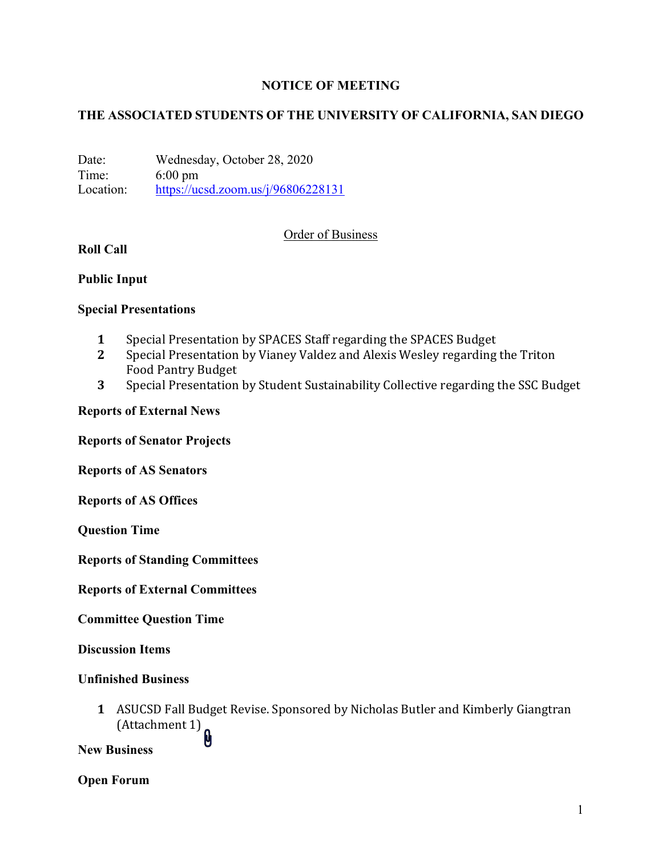# **NOTICE OF MEETING**

# **THE ASSOCIATED STUDENTS OF THE UNIVERSITY OF CALIFORNIA, SAN DIEGO**

Date: Wednesday, October 28, 2020 Time: 6:00 pm Location: https://ucsd.zoom.us/j/96806228131

# Order of Business

# **Roll Call**

# **Public Input**

# **Special Presentations**

- **1** Special Presentation by SPACES Staff regarding the SPACES Budget
- **2** Special Presentation by Vianey Valdez and Alexis Wesley regarding the Triton Food Pantry Budget
- **3** Special Presentation by Student Sustainability Collective regarding the SSC Budget

# **Reports of External News**

**Reports of Senator Projects**

**Reports of AS Senators**

**Reports of AS Offices**

**Question Time**

**Reports of Standing Committees**

**Reports of External Committees**

**Committee Question Time**

**Discussion Items**

### **Unfinished Business**

**1** ASUCSD Fall Budget Revise. Sponsored by Nicholas Butler and Kimberly Giangtran  $(Attentionment 1)$ 

**New Business**

# **Open Forum**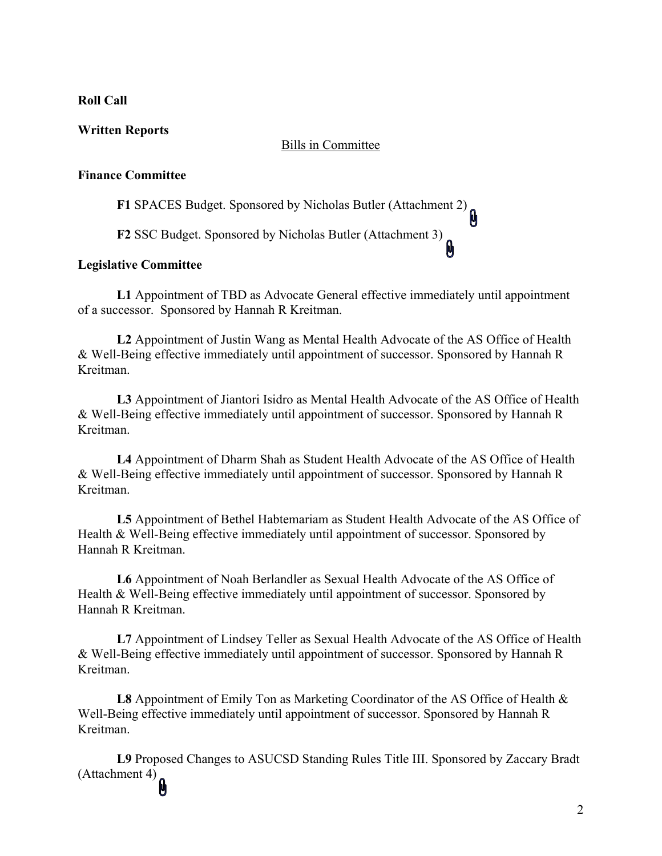#### **Roll Call**

### **Written Reports**

#### Bills in Committee

### **Finance Committee**

**F1** SPACES Budget. Sponsored by Nicholas Butler (Attachment 2)

**F2** SSC Budget. Sponsored by Nicholas Butler (Attachment 3)

#### **Legislative Committee**

**L1** Appointment of TBD as Advocate General effective immediately until appointment of a successor. Sponsored by Hannah R Kreitman.

画

**L2** Appointment of Justin Wang as Mental Health Advocate of the AS Office of Health & Well-Being effective immediately until appointment of successor. Sponsored by Hannah R Kreitman.

**L3** Appointment of Jiantori Isidro as Mental Health Advocate of the AS Office of Health & Well-Being effective immediately until appointment of successor. Sponsored by Hannah R Kreitman.

**L4** Appointment of Dharm Shah as Student Health Advocate of the AS Office of Health & Well-Being effective immediately until appointment of successor. Sponsored by Hannah R Kreitman.

**L5** Appointment of Bethel Habtemariam as Student Health Advocate of the AS Office of Health & Well-Being effective immediately until appointment of successor. Sponsored by Hannah R Kreitman.

**L6** Appointment of Noah Berlandler as Sexual Health Advocate of the AS Office of Health & Well-Being effective immediately until appointment of successor. Sponsored by Hannah R Kreitman.

**L7** Appointment of Lindsey Teller as Sexual Health Advocate of the AS Office of Health & Well-Being effective immediately until appointment of successor. Sponsored by Hannah R Kreitman.

**L8** Appointment of Emily Ton as Marketing Coordinator of the AS Office of Health & Well-Being effective immediately until appointment of successor. Sponsored by Hannah R Kreitman.

**L9** Proposed Changes to ASUCSD Standing Rules Title III. Sponsored by Zaccary Bradt  $(Attachment 4)$